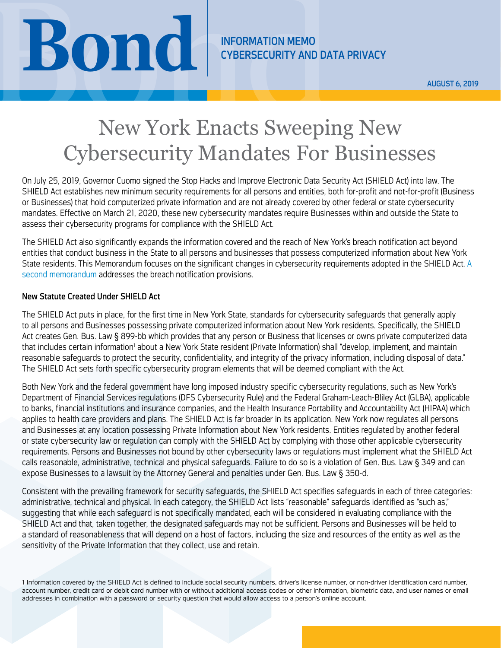CYBERSECURITY AND DATA PRIVACY

AUGUST 6, 2019

# NEORMATION MEMORMATION MEMORMATION MEMORMATION MEMORMATION MEMORMATION MEMORMATION MEMORMATION MEMORMATION MEMORMATION MEMORMATION MEMORMATION MEMORMATION MEMORMATION MEMORMATION MEMORMATION MEMORMATION MEMORMATION MEMORMA New York Enacts Sweeping New Cybersecurity Mandates For Businesses

On July 25, 2019, Governor Cuomo signed the Stop Hacks and Improve Electronic Data Security Act (SHIELD Act) into law. The SHIELD Act establishes new minimum security requirements for all persons and entities, both for-profit and not-for-profit (Business or Businesses) that hold computerized private information and are not already covered by other federal or state cybersecurity mandates. Effective on March 21, 2020, these new cybersecurity mandates require Businesses within and outside the State to assess their cybersecurity programs for compliance with the SHIELD Act.

The SHIELD Act also significantly expands the information covered and the reach of New York's breach notification act beyond entities that conduct business in the State to all persons and businesses that possess computerized information about New York State residents. This Memorandum focuses on the significant changes in cybersecurity requirements adopted in the SHIELD Act. [A](https://www.bsk.com/uploads/08-06-19-New-York-Significantly-Expands-Breach-Notification-Law-Cyber-IM.pdf)  [second memorandum](https://www.bsk.com/uploads/08-06-19-New-York-Significantly-Expands-Breach-Notification-Law-Cyber-IM.pdf) addresses the breach notification provisions.

## New Statute Created Under SHIELD Act

The SHIELD Act puts in place, for the first time in New York State, standards for cybersecurity safeguards that generally apply to all persons and Businesses possessing private computerized information about New York residents. Specifically, the SHIELD Act creates Gen. Bus. Law § 899-bb which provides that any person or Business that licenses or owns private computerized data that includes certain information<sup>i</sup> about a New York State resident (Private Information) shall "develop, implement, and maintain reasonable safeguards to protect the security, confidentiality, and integrity of the privacy information, including disposal of data." The SHIELD Act sets forth specific cybersecurity program elements that will be deemed compliant with the Act.

Both New York and the federal government have long imposed industry specific cybersecurity regulations, such as New York's Department of Financial Services regulations (DFS Cybersecurity Rule) and the Federal Graham-Leach-Bliley Act (GLBA), applicable to banks, financial institutions and insurance companies, and the Health Insurance Portability and Accountability Act (HIPAA) which applies to health care providers and plans. The SHIELD Act is far broader in its application. New York now regulates all persons and Businesses at any location possessing Private Information about New York residents. Entities regulated by another federal or state cybersecurity law or regulation can comply with the SHIELD Act by complying with those other applicable cybersecurity requirements. Persons and Businesses not bound by other cybersecurity laws or regulations must implement what the SHIELD Act calls reasonable, administrative, technical and physical safeguards. Failure to do so is a violation of Gen. Bus. Law § 349 and can expose Businesses to a lawsuit by the Attorney General and penalties under Gen. Bus. Law § 350-d.

Consistent with the prevailing framework for security safeguards, the SHIELD Act specifies safeguards in each of three categories: administrative, technical and physical. In each category, the SHIELD Act lists "reasonable" safeguards identified as "such as," suggesting that while each safeguard is not specifically mandated, each will be considered in evaluating compliance with the SHIELD Act and that, taken together, the designated safeguards may not be sufficient. Persons and Businesses will be held to a standard of reasonableness that will depend on a host of factors, including the size and resources of the entity as well as the sensitivity of the Private Information that they collect, use and retain.

<sup>1</sup> Information covered by the SHIELD Act is defined to include social security numbers, driver's license number, or non-driver identification card number, account number, credit card or debit card number with or without additional access codes or other information, biometric data, and user names or email addresses in combination with a password or security question that would allow access to a person's online account.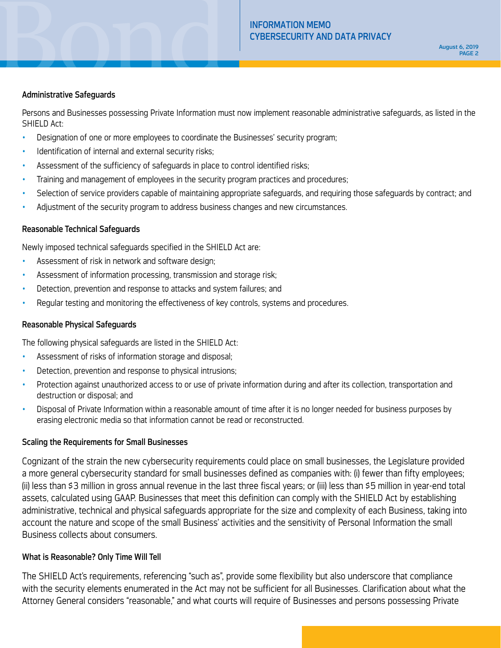### Administrative Safeguards

Persons and Businesses possessing Private Information must now implement reasonable administrative safeguards, as listed in the SHIELD Act:

- Designation of one or more employees to coordinate the Businesses' security program;
- Identification of internal and external security risks;
- Assessment of the sufficiency of safeguards in place to control identified risks;
- Training and management of employees in the security program practices and procedures;
- Selection of service providers capable of maintaining appropriate safeguards, and requiring those safeguards by contract; and
- Adjustment of the security program to address business changes and new circumstances.

## Reasonable Technical Safeguards

Newly imposed technical safeguards specified in the SHIELD Act are:

- Assessment of risk in network and software design;
- Assessment of information processing, transmission and storage risk;
- Detection, prevention and response to attacks and system failures; and
- Regular testing and monitoring the effectiveness of key controls, systems and procedures.

## Reasonable Physical Safeguards

The following physical safeguards are listed in the SHIELD Act:

- Assessment of risks of information storage and disposal;
- Detection, prevention and response to physical intrusions;
- Protection against unauthorized access to or use of private information during and after its collection, transportation and destruction or disposal; and
- Disposal of Private Information within a reasonable amount of time after it is no longer needed for business purposes by erasing electronic media so that information cannot be read or reconstructed.

## Scaling the Requirements for Small Businesses

Cognizant of the strain the new cybersecurity requirements could place on small businesses, the Legislature provided a more general cybersecurity standard for small businesses defined as companies with: (i) fewer than fifty employees; (ii) less than \$3 million in gross annual revenue in the last three fiscal years; or (iii) less than \$5 million in year-end total assets, calculated using GAAP. Businesses that meet this definition can comply with the SHIELD Act by establishing administrative, technical and physical safeguards appropriate for the size and complexity of each Business, taking into account the nature and scope of the small Business' activities and the sensitivity of Personal Information the small Business collects about consumers.

## What is Reasonable? Only Time Will Tell

The SHIELD Act's requirements, referencing "such as", provide some flexibility but also underscore that compliance with the security elements enumerated in the Act may not be sufficient for all Businesses. Clarification about what the Attorney General considers "reasonable," and what courts will require of Businesses and persons possessing Private